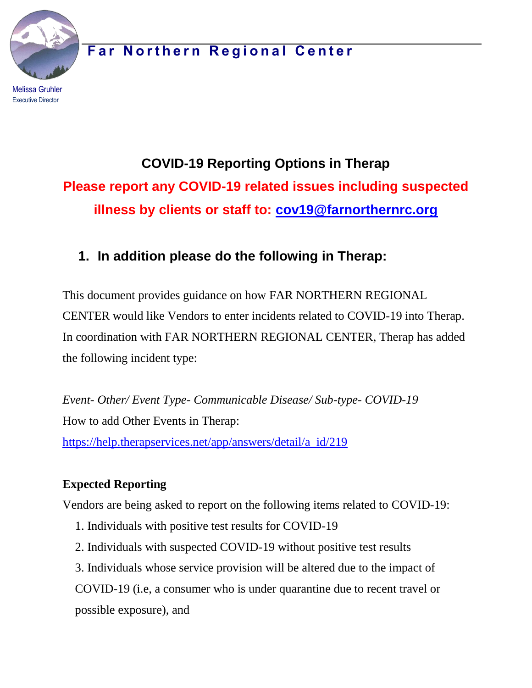**Far Northern Regional Center** 

Melissa Gruhler Executive Director

# **COVID-19 Reporting Options in Therap Please report any COVID-19 related issues including suspected illness by clients or staff to: [cov19@farnorthernrc.org](mailto:cov19@farnorthernrc.org)**

## **1. In addition please do the following in Therap:**

This document provides guidance on how FAR NORTHERN REGIONAL CENTER would like Vendors to enter incidents related to COVID-19 into Therap. In coordination with FAR NORTHERN REGIONAL CENTER, Therap has added the following incident type:

*Event- Other/ Event Type- Communicable Disease/ Sub-type- COVID-19* How to add Other Events in Therap: [https://help.therapservices.net/app/answers/detail/a\\_id/219](https://help.therapservices.net/app/answers/detail/a_id/219)

### **Expected Reporting**

Vendors are being asked to report on the following items related to COVID-19:

- 1. Individuals with positive test results for COVID-19
- 2. Individuals with suspected COVID-19 without positive test results
- 3. Individuals whose service provision will be altered due to the impact of

COVID-19 (i.e, a consumer who is under quarantine due to recent travel or possible exposure), and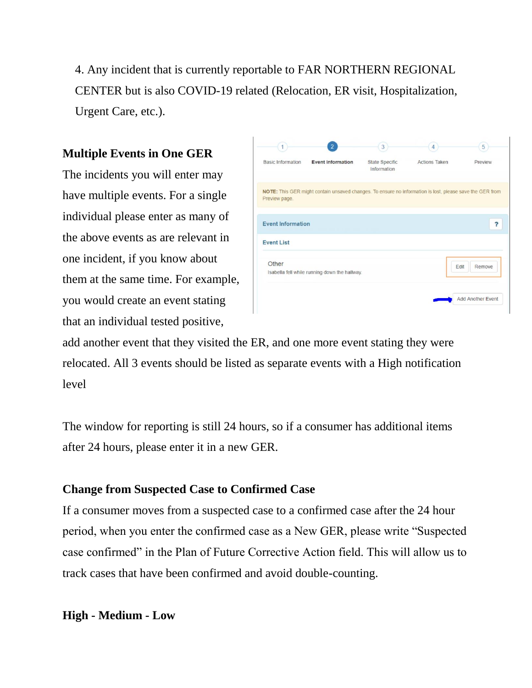4. Any incident that is currently reportable to FAR NORTHERN REGIONAL CENTER but is also COVID-19 related (Relocation, ER visit, Hospitalization, Urgent Care, etc.).

#### **Multiple Events in One GER**

The incidents you will enter may have multiple events. For a single individual please enter as many of the above events as are relevant in one incident, if you know about them at the same time. For example, you would create an event stating that an individual tested positive,

|                          | 2                                             | 3                             | 4                                                                                                        | 5                 |
|--------------------------|-----------------------------------------------|-------------------------------|----------------------------------------------------------------------------------------------------------|-------------------|
| <b>Basic Information</b> | <b>Event Information</b>                      | State Specific<br>Information | <b>Actions Taken</b>                                                                                     | Preview           |
| Preview page.            |                                               |                               | NOTE: This GER might contain unsaved changes. To ensure no information is lost, please save the GER from |                   |
| <b>Event Information</b> |                                               |                               |                                                                                                          | ?                 |
| <b>Event List</b>        |                                               |                               |                                                                                                          |                   |
| Other                    | Isabella fell while running down the hallway. |                               | Edit                                                                                                     | Remove            |
|                          |                                               |                               |                                                                                                          | Add Another Event |
|                          |                                               |                               |                                                                                                          |                   |

add another event that they visited the ER, and one more event stating they were relocated. All 3 events should be listed as separate events with a High notification level

The window for reporting is still 24 hours, so if a consumer has additional items after 24 hours, please enter it in a new GER.

#### **Change from Suspected Case to Confirmed Case**

If a consumer moves from a suspected case to a confirmed case after the 24 hour period, when you enter the confirmed case as a New GER, please write "Suspected case confirmed" in the Plan of Future Corrective Action field. This will allow us to track cases that have been confirmed and avoid double-counting.

#### **High - Medium - Low**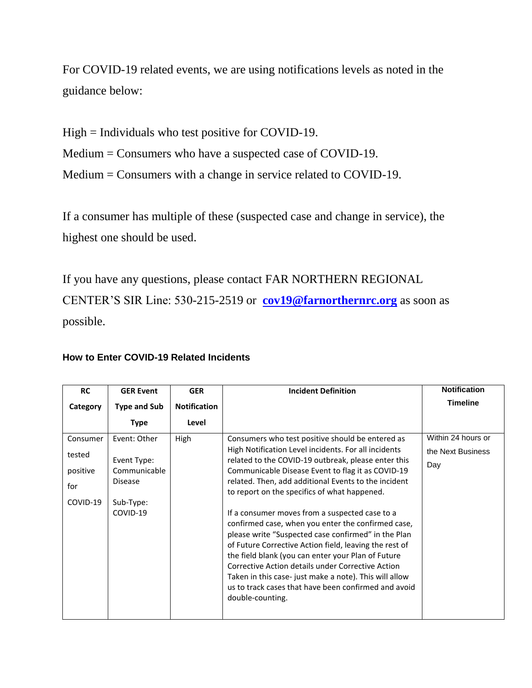For COVID-19 related events, we are using notifications levels as noted in the guidance below:

High = Individuals who test positive for COVID-19.

Medium = Consumers who have a suspected case of COVID-19.

Medium = Consumers with a change in service related to COVID-19.

If a consumer has multiple of these (suspected case and change in service), the highest one should be used.

If you have any questions, please contact FAR NORTHERN REGIONAL CENTER'S SIR Line: 530-215-2519 or **[cov19@farnorthernrc.org](mailto:cov19@farnorthernrc.org)** as soon as possible.

#### **How to Enter COVID-19 Related Incidents**

| <b>RC</b> | <b>GER Event</b>               | <b>GER</b>          | <b>Incident Definition</b>                                                                                   | <b>Notification</b> |
|-----------|--------------------------------|---------------------|--------------------------------------------------------------------------------------------------------------|---------------------|
| Category  | <b>Type and Sub</b>            | <b>Notification</b> |                                                                                                              | <b>Timeline</b>     |
|           | <b>Type</b>                    | Level               |                                                                                                              |                     |
| Consumer  | Event: Other                   | High                | Consumers who test positive should be entered as                                                             | Within 24 hours or  |
| tested    |                                |                     | High Notification Level incidents. For all incidents                                                         | the Next Business   |
|           | Event Type:                    |                     | related to the COVID-19 outbreak, please enter this                                                          | Day                 |
| positive  | Communicable<br><b>Disease</b> |                     | Communicable Disease Event to flag it as COVID-19<br>related. Then, add additional Events to the incident    |                     |
| for       |                                |                     | to report on the specifics of what happened.                                                                 |                     |
| COVID-19  | Sub-Type:                      |                     |                                                                                                              |                     |
|           | COVID-19                       |                     | If a consumer moves from a suspected case to a                                                               |                     |
|           |                                |                     | confirmed case, when you enter the confirmed case,                                                           |                     |
|           |                                |                     | please write "Suspected case confirmed" in the Plan                                                          |                     |
|           |                                |                     | of Future Corrective Action field, leaving the rest of<br>the field blank (you can enter your Plan of Future |                     |
|           |                                |                     | Corrective Action details under Corrective Action                                                            |                     |
|           |                                |                     | Taken in this case- just make a note). This will allow                                                       |                     |
|           |                                |                     | us to track cases that have been confirmed and avoid                                                         |                     |
|           |                                |                     | double-counting.                                                                                             |                     |
|           |                                |                     |                                                                                                              |                     |